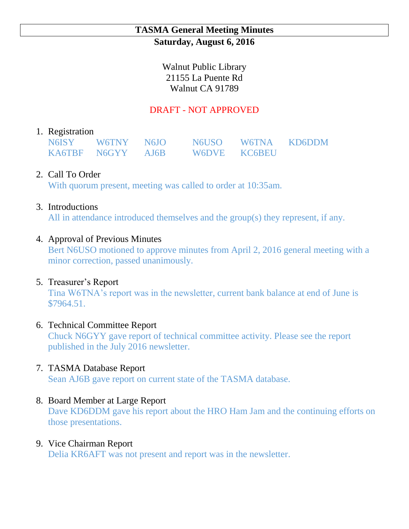### **TASMA General Meeting Minutes Saturday, August 6, 2016**

Walnut Public Library 21155 La Puente Rd Walnut CA 91789

# DRAFT - NOT APPROVED

#### 1. Registration

| N6ISY W6TNY N6IO  | N6USO W6TNA KD6DDM |  |
|-------------------|--------------------|--|
| KA6TBF N6GYY AJ6B | W6DVE KC6BEU       |  |

## 2. Call To Order

With quorum present, meeting was called to order at 10:35am.

### 3. Introductions

All in attendance introduced themselves and the group(s) they represent, if any.

### 4. Approval of Previous Minutes

Bert N6USO motioned to approve minutes from April 2, 2016 general meeting with a minor correction, passed unanimously.

## 5. Treasurer's Report

Tina W6TNA's report was in the newsletter, current bank balance at end of June is \$7964.51.

## 6. Technical Committee Report

Chuck N6GYY gave report of technical committee activity. Please see the report published in the July 2016 newsletter.

## 7. TASMA Database Report

Sean AJ6B gave report on current state of the TASMA database.

## 8. Board Member at Large Report

Dave KD6DDM gave his report about the HRO Ham Jam and the continuing efforts on those presentations.

#### 9. Vice Chairman Report

Delia KR6AFT was not present and report was in the newsletter.